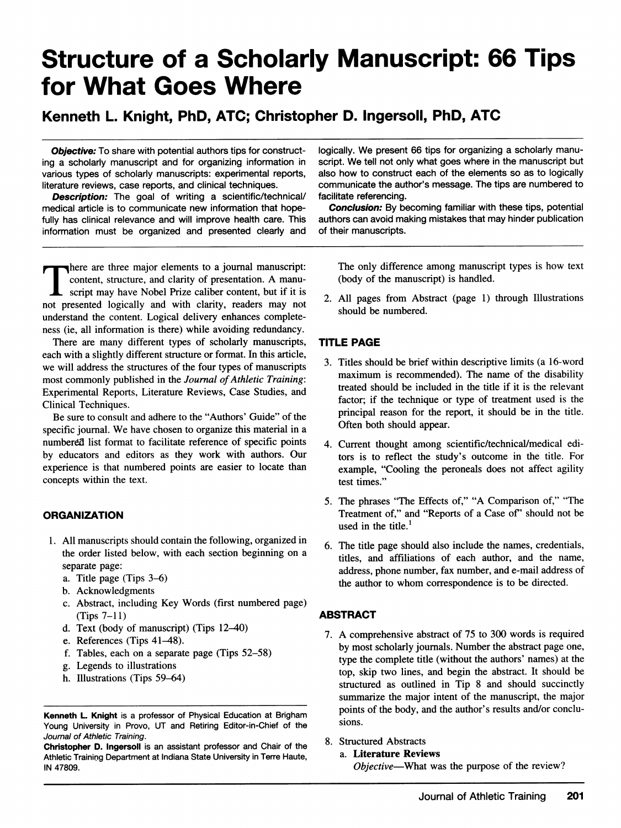# Structure of a Scholarly Manuscript: 66 Tips for What Goes Where

# Kenneth L. Knight, PhD, ATC; Christopher D. Ingersoll, PhD, ATC

**Objective:** To share with potential authors tips for constructing a scholarly manuscript and for organizing information in various types of scholarly manuscripts: experimental reports, literature reviews, case reports, and clinical techniques.

**Description:** The goal of writing a scientific/technical/ medical article is to communicate new information that hopefully has clinical relevance and will improve health care. This information must be organized and presented clearly and

logically. We present 66 tips for organizing <sup>a</sup> scholarly manuscript. We tell not only what goes where in the manuscript but also how to construct each of the elements so as to logically communicate the author's message. The tips are numbered to facilitate referencing.

Conclusion: By becoming familiar with these tips, potential authors can avoid making mistakes that may hinder publication of their manuscripts.

There are three major elements to a journal manuscript: content, structure, and clarity of presentation. A manuscript may have Nobel Prize caliber content, but if it is not presented logically and with clarity, readers may not understand the content. Logical delivery enhances completeness (ie, all information is there) while avoiding redundancy.

There are many different types of scholarly manuscripts, each with a slightly different structure or format. In this article, we will address the structures of the four types of manuscripts most commonly published in the Journal of Athletic Training: Experimental Reports, Literature Reviews, Case Studies, and Clinical Techniques.

Be sure to consult and adhere to the "Authors' Guide" of the specific journal. We have chosen to organize this material in <sup>a</sup> numbered list format to facilitate reference of specific points by educators and editors as they work with authors. Our experience is that numbered points are easier to locate than concepts within the text.

#### **ORGANIZATION**

- 1. All manuscripts should contain the following, organized in the order listed below, with each section beginning on a separate page:
	- a. Title page (Tips 3-6)
	- b. Acknowledgments
	- c. Abstract, including Key Words (first numbered page)  $(Tips 7-11)$
	- d. Text (body of manuscript) (Tips 12-40)
	- e. References (Tips 41-48).
	- f. Tables, each on a separate page (Tips 52-58)
	- g. Legends to illustrations
	- h. Illustrations (Tips 59-64)

Christopher D. Ingersoll is an assistant professor and Chair of the Athletic Training Department at Indiana State University in Terre Haute, IN 47809.

The only difference among manuscript types is how text (body of the manuscript) is handled.

2. All pages from Abstract (page 1) through Illustrations should be numbered.

## TITLE PAGE

- 3. Titles should be brief within descriptive limits (a 16-word maximum is recommended). The name of the disability treated should be included in the title if it is the relevant factor; if the technique or type of treatment used is the principal reason for the report, it should be in the title. Often both should appear.
- 4. Current thought among scientific/technical/medical editors is to reflect the study's outcome in the title. For example, "Cooling the peroneals does not affect agility test times."
- 5. The phrases "The Effects of," "A Comparison of," "The Treatment of," and "Reports of a Case of' should not be used in the title. $<sup>1</sup>$ </sup>
- 6. The title page should also include the names, credentials, titles, and affiliations of each author, and the name, address, phone number, fax number, and e-mail address of the author to whom correspondence is to be directed.

## ABSTRACT

- 7. A comprehensive abstract of <sup>75</sup> to <sup>300</sup> words is required by most scholarly journals. Number the abstract page one, type the complete title (without the authors' names) at the top, skip two lines, and begin the abstract. It should be structured as outlined in Tip 8 and should succinctly summarize the major intent of the manuscript, the major points of the body, and the author's results and/or conclusions.
- 8. Structured Abstracts

#### a. Literature Reviews

Objective-What was the purpose of the review?

Kenneth L. Knight is a professor of Physical Education at Brigham Young University in Provo, UT and Retiring Editor-in-Chief of the Journal of Athletic Training.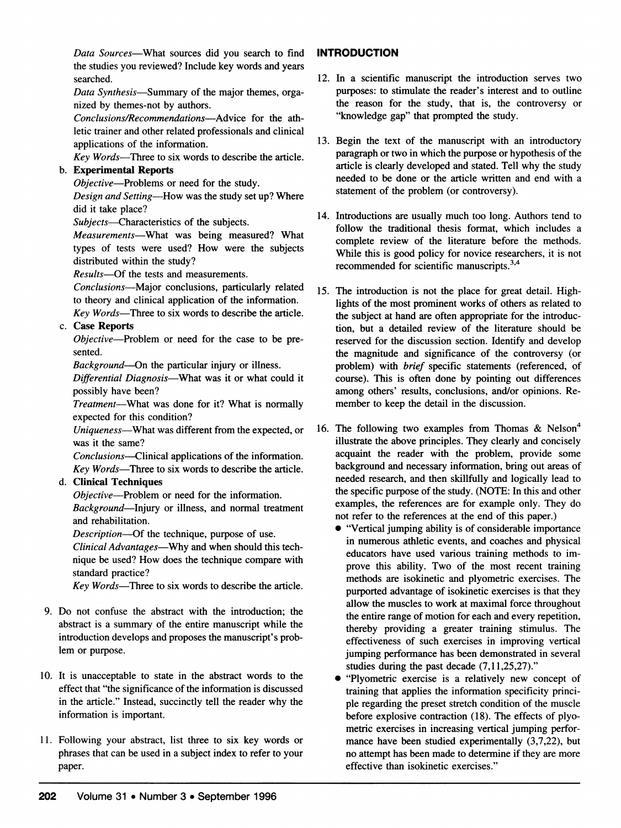Data Sources-What sources did you search to find the studies you reviewed? Include key words and years searched.

Data Synthesis-Summary of the major themes, organized by themes-not by authors.

Conclusions/Recommendations-Advice for the athletic trainer and other related professionals and clinical applications of the information.

Key Words-Three to six words to describe the article.

# b. Experimental Reports

Objective-Problems or need for the study. Design and Setting-How was the study set up? Where did it take place?

Subjects-Characteristics of the subjects.

Measurements---What was being measured? What types of tests were used? How were the subjects distributed within the study?

Results-Of the tests and measurements.

Conclusions-Major conclusions, particularly related to theory and clinical application of the information.

Key Words-Three to six words to describe the article. c. Case Reports

Objective-Problem or need for the case to be presented.

Background-On the particular injury or illness.

Differential Diagnosis-What was it or what could it possibly have been?

Treatment-What was done for it? What is normally expected for this condition?

Uniqueness-What was different from the expected, or was it the same?

Conclusions-Clinical applications of the information. Key Words-Three to six words to describe the article.

## d. Clinical Techniques

Objective-Problem or need for the information. Background-Injury or illness, and normal treatment and rehabilitation.

Description---Of the technique, purpose of use.

Clinical Advantages-Why and when should this technique be used? How does the technique compare with standard practice?

Key Words-Three to six words to describe the article.

- 9. Do not confuse the abstract with the introduction; the abstract is a summary of the entire manuscript while the introduction develops and proposes the manuscript's problem or purpose.
- 10. It is unacceptable to state in the abstract words to the effect that "the significance of the information is discussed in the article." Instead, succinctly tell the reader why the information is important.
- 11. Following your abstract, list three to six key words or phrases that can be used in a subject index to refer to your paper.

## INTRODUCTION

- 12. In a scientific manuscript the introduction serves two purposes: to stimulate the reader's interest and to outline the reason for the study, that is, the controversy or "knowledge gap" that prompted the study.
- 13. Begin the text of the manuscript with an introductory paragraph or two in which the purpose or hypothesis of the article is clearly developed and stated. Tell why the study needed to be done or the article written and end with a statement of the problem (or controversy).
- 14. Introductions are usually much too long. Authors tend to follow the traditional thesis format, which includes a complete review of the literature before the methods. While this is good policy for novice researchers, it is not recommended for scientific manuscripts.<sup>3,4</sup>
- 15. The introduction is not the place for great detail. Highlights of the most prominent works of others as related to the subject at hand are often appropriate for the introduction, but a detailed review of the literature should be reserved for the discussion section. Identify and develop the magnitude and significance of the controversy (or problem) with brief specific statements (referenced, of course). This is often done by pointing out differences among others' results, conclusions, and/or opinions. Remember to keep the detail in the discussion.
- 16. The following two examples from Thomas & Nelson<sup>4</sup> illustrate the above principles. They clearly and concisely acquaint the reader with the problem, provide some background and necessary information, bring out areas of needed research, and then skillfully and logically lead to the specific purpose of the study. (NOTE: In this and other examples, the references are for example only. They do not refer to the references at the end of this paper.)
	- \* "Vertical jumping ability is of considerable importance in numerous athletic events, and coaches and physical educators have used various training methods to improve this ability. Two of the most recent training methods are isokinetic and plyometric exercises. The purported advantage of isokinetic exercises is that they allow the muscles to work at maximal force throughout the entire range of motion for each and every repetition, thereby providing a greater training stimulus. The effectiveness of such exercises in improving vertical jumping performance has been demonstrated in several studies during the past decade (7,11,25,27)."
	- "Plyometric exercise is a relatively new concept of training that applies the information specificity principle regarding the preset stretch condition of the muscle before explosive contraction (18). The effects of plyometric exercises in increasing vertical jumping performance have been studied experimentally (3,7,22), but no attempt has been made to determine if they are more effective than isokinetic exercises."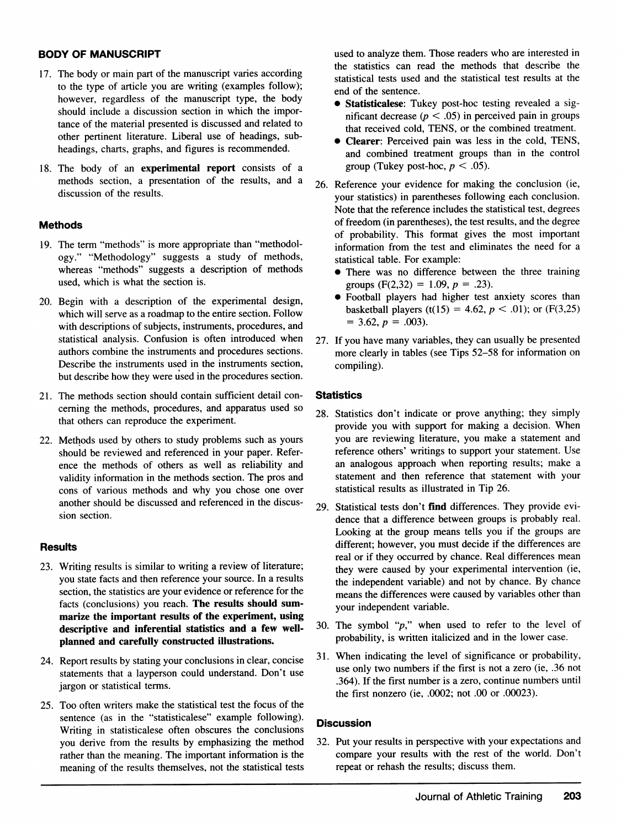#### BODY OF MANUSCRIPT

- 17. The body or main part of the manuscript varies according to the type of article you are writing (examples follow); however, regardless of the manuscript type, the body should include a discussion section in which the importance of the material presented is discussed and related to other pertinent literature. Liberal use of headings, subheadings, charts, graphs, and figures is recommended.
- 18. The body of an experimental report consists of a methods section, a presentation of the results, and a discussion of the results.

#### Methods

- 19. The term "methods" is more appropriate than "methodology." "Methodology" suggests a study of methods, whereas "methods" suggests a description of methods used, which is what the section is.
- 20. Begin with a description of the experimental design, which will serve as a roadmap to the entire section. Follow with descriptions of subjects, instruments, procedures, and statistical analysis. Confusion is often introduced when authors combine the instruments and procedures sections. Describe the instruments used in the instruments section, but describe how they were used in the procedures section.
- 21. The methods section should contain sufficient detail concerning the methods, procedures, and apparatus used so that others can reproduce the experiment.
- 22. Methods used by others to study problems such as yours should be reviewed and referenced in your paper. Reference the methods of others as well as reliability and validity information in the methods section. The pros and cons of various methods and why you chose one over another should be discussed and referenced in the discussion section.

## **Results**

- 23. Writing results is similar to writing a review of literature; you state facts and then reference your source. In a results section, the statistics are your evidence or reference for the facts (conclusions) you reach. The results should summarize the important results of the experiment, using descriptive and inferential statistics and a few wellplanned and carefully constructed illustrations.
- 24. Report results by stating your conclusions in clear, concise statements that a layperson could understand. Don't use jargon or statistical terms.
- 25. Too often writers make the statistical test the focus of the sentence (as in the "statisticalese" example following). Writing in statisticalese often obscures the conclusions you derive from the results by emphasizing the method rather than the meaning. The important information is the meaning of the results themselves, not the statistical tests

used to analyze them. Those readers who are interested in the statistics can read the methods that describe the statistical tests used and the statistical test results at the end of the sentence.

- Statisticalese: Tukey post-hoc testing revealed a significant decrease ( $p < .05$ ) in perceived pain in groups that received cold, TENS, or the combined treatment.
- Clearer: Perceived pain was less in the cold, TENS, and combined treatment groups than in the control group (Tukey post-hoc,  $p < .05$ ).
- 26. Reference your evidence for making the conclusion (ie, your statistics) in parentheses following each conclusion. Note that the reference includes the statistical test, degrees of freedom (in parentheses), the test results, and the degree of probability. This format gives the most important information from the test and eliminates the need for a statistical table. For example:
	- There was no difference between the three training groups (F(2,32) = 1.09,  $p = .23$ ).
	- \* Football players had higher test anxiety scores than basketball players (t(15) = 4.62,  $p < .01$ ); or (F(3,25)  $= 3.62, p = .003$ .
- 27. If you have many variables, they can usually be presented more clearly in tables (see Tips 52-58 for information on compiling).

#### **Statistics**

- 28. Statistics don't indicate or prove anything; they simply provide you with support for making <sup>a</sup> decision. When you are reviewing literature, you make a statement and reference others' writings to support your statement. Use an analogous approach when reporting results; make a statement and then reference that statement with your statistical results as illustrated in Tip 26.
- 29. Statistical tests don't find differences. They provide evidence that a difference between groups is probably real. Looking at the group means tells you if the groups are different; however, you must decide if the differences are real or if they occurred by chance. Real differences mean they were caused by your experimental intervention (ie, the independent variable) and not by chance. By chance means the differences were caused by variables other than your independent variable.
- 30. The symbol " $p$ ," when used to refer to the level of probability, is written italicized and in the lower case.
- 31. When indicating the level of significance or probability, use only two numbers if the first is not a zero (ie, .36 not .364). If the first number is a zero, continue numbers until the first nonzero (ie, .0002; not .00 or .00023).

#### **Discussion**

32. Put your results in perspective with your expectations and compare your results with the rest of the world. Don't repeat or rehash the results; discuss them.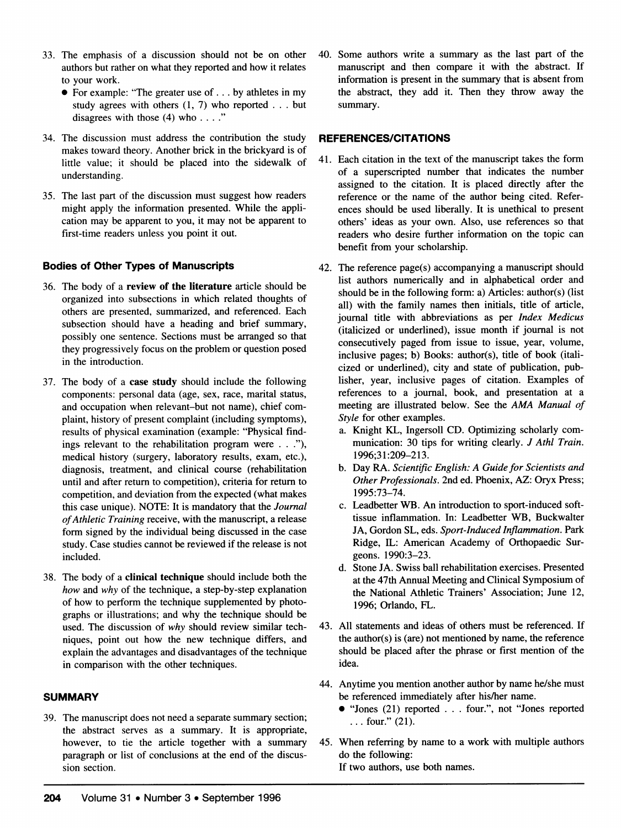- 33. The emphasis of a discussion should not be on other authors but rather on what they reported and how it relates to your work.
	- 0 For example: "The greater use of... by athletes in my study agrees with others (1, 7) who reported . . . but disagrees with those  $(4)$  who ...."
- 34. The discussion must address the contribution the study makes toward theory. Another brick in the brickyard is of little value; it should be placed into the sidewalk of understanding.
- 35. The last part of the discussion must suggest how readers might apply the information presented. While the application may be apparent to you, it may not be apparent to first-time readers unless you point it out.

## Bodies of Other Types of Manuscripts

- 36. The body of a review of the literature article should be organized into subsections in which related thoughts of others are presented, summarized, and referenced. Each subsection should have a heading and brief summary, possibly one sentence. Sections must be arranged so that they progressively focus on the problem or question posed in the introduction.
- 37. The body of a case study should include the following components: personal data (age, sex, race, marital status, and occupation when relevant-but not name), chief complaint, history of present complaint (including symptoms), results of physical examination (example: "Physical findings relevant to the rehabilitation program were . . ."), medical history (surgery, laboratory results, exam, etc.), diagnosis, treatment, and clinical course (rehabilitation until and after return to competition), criteria for return to competition, and deviation from the expected (what makes this case unique). NOTE: It is mandatory that the Journal ofAthletic Training receive, with the manuscript, a release form signed by the individual being discussed in the case study. Case studies cannot be reviewed if the release is not included.
- 38. The body of a clinical technique should include both the how and why of the technique, a step-by-step explanation of how to perform the technique supplemented by photographs or illustrations; and why the technique should be used. The discussion of why should review similar techniques, point out how the new technique differs, and explain the advantages and disadvantages of the technique in comparison with the other techniques.

## **SUMMARY**

39. The manuscript does not need a separate summary section; the abstract serves as a summary. It is appropriate, however, to tie the article together with a summary paragraph or list of conclusions at the end of the discussion section.

40. Some authors write a summary as the last part of the manuscript and then compare it with the abstract. If information is present in the summary that is absent from the abstract, they add it. Then they throw away the summary.

## REFERENCES/CITATIONS

- 41. Each citation in the text of the manuscript takes the form of a superscripted number that indicates the number assigned to the citation. It is placed directly after the reference or the name of the author being cited. References should be used liberally. It is unethical to present others' ideas as your own. Also, use references so that readers who desire further information on the topic can benefit from your scholarship.
- 42. The reference page(s) accompanying a manuscript should list authors numerically and in alphabetical order and should be in the following form: a) Articles: author(s) (list all) with the family names then initials, title of article, journal title with abbreviations as per Index Medicus (italicized or underlined), issue month if journal is not consecutively paged from issue to issue, year, volume, inclusive pages; b) Books: author(s), title of book (italicized or underlined), city and state of publication, publisher, year, inclusive pages of citation. Examples of references to a journal, book, and presentation at a meeting are illustrated below. See the AMA Manual of Style for other examples.
	- a. Knight KL, Ingersoll CD. Optimizing scholarly communication: 30 tips for writing clearly. J Athl Train. 1996;31:209-213.
	- b. Day RA. Scientific English: A Guide for Scientists and Other Professionals. 2nd ed. Phoenix, AZ: Oryx Press; 1995:73-74.
	- c. Leadbetter WB. An introduction to sport-induced softtissue inflammation. In: Leadbetter WB, Buckwalter JA, Gordon SL, eds. Sport-Induced Inflammation. Park Ridge, IL: American Academy of Orthopaedic Surgeons. 1990:3-23.
	- d. Stone JA. Swiss ball rehabilitation exercises. Presented at the 47th Annual Meeting and Clinical Symposium of the National Athletic Trainers' Association; June 12, 1996; Orlando, FL.
- 43. All statements and ideas of others must be referenced. If the author(s) is (are) not mentioned by name, the reference should be placed after the phrase or first mention of the idea.
- 44. Anytime you mention another author by name he/she must be referenced immediately after his/her name.
	- 0 "Jones (21) reported . . . four.", not "Jones reported ... four." (21).
- 45. When referring by name to a work with multiple authors do the following:

If two authors, use both names.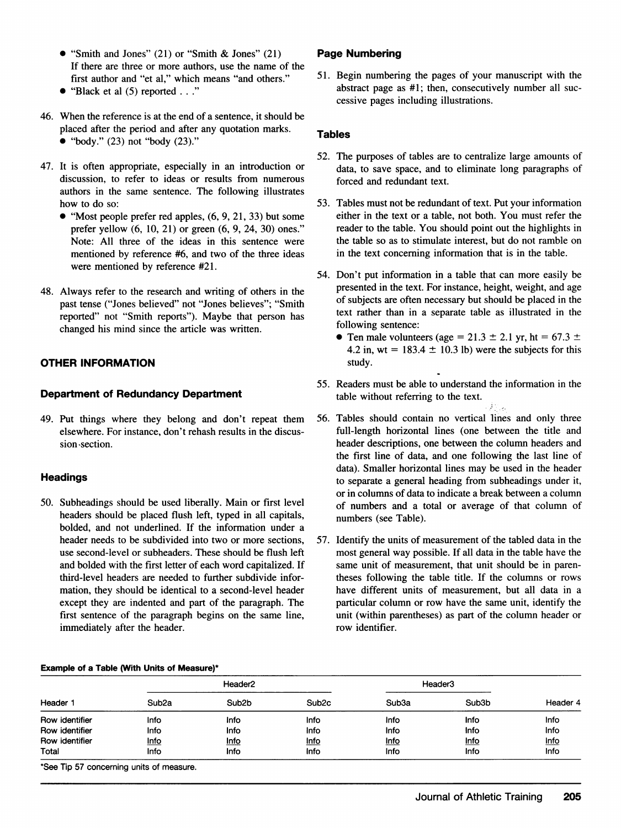- "Smith and Jones" (21) or "Smith & Jones" (21) If there are three or more authors, use the name of the first author and "et al," which means "and others."
- "Black et al  $(5)$  reported  $\ldots$ "
- 46. When the reference is at the end of a sentence, it should be placed after the period and after any quotation marks.
	- "body." (23) not "body (23)."
- 47. It is often appropriate, especially in an introduction or discussion, to refer to ideas or results from numerous authors in the same sentence. The following illustrates how to do so:
	- $\bullet$  "Most people prefer red apples,  $(6, 9, 21, 33)$  but some prefer yellow (6, 10, 21) or green (6, 9, 24, 30) ones." Note: All three of the ideas in this sentence were mentioned by reference #6, and two of the three ideas were mentioned by reference #21.
- 48. Always refer to the research and writing of others in the past tense ("Jones believed" not "Jones believes"; "Smith reported" not "Smith reports"). Maybe that person has changed his mind since the article was written.

# OTHER INFORMATION

# Department of Redundancy Department

49. Put things where they belong and don't repeat them elsewhere. For instance, don't rehash results in the discussion -section.

# **Headings**

50. Subheadings should be used liberally. Main or first level headers should be placed flush left, typed in all capitals, bolded, and not underlined. If the information under a header needs to be subdivided into two or more sections, use second-level or subheaders. These should be flush left and bolded with the first letter of each word capitalized. If third-level headers are needed to further subdivide information, they should be identical to a second-level header except they are indented and part of the paragraph. The first sentence of the paragraph begins on the same line, immediately after the header.

## Example of a Table (With Units of Measure)\*

# Page Numbering

51. Begin numbering the pages of your manuscript with the abstract page as #1; then, consecutively number all successive pages including illustrations.

## **Tables**

- 52. The purposes of tables are to centralize large amounts of data, to save space, and to eliminate long paragraphs of forced and redundant text.
- 53. Tables must not be redundant of text. Put your information either in the text or a table, not both. You must refer the reader to the table. You should point out the highlights in the table so as to stimulate interest, but do not ramble on in the text concerning information that is in the table.
- 54. Don't put information in a table that can more easily be presented in the text. For instance, height, weight, and age of subjects are often necessary but should be placed in the text rather than in a separate table as illustrated in the following sentence:
	- Ten male volunteers (age = 21.3  $\pm$  2.1 yr, ht = 67.3  $\pm$ 4.2 in, wt =  $183.4 \pm 10.3$  lb) were the subjects for this study.
- 55. Readers must be able to understand the information in the table without referring to the text.
- 56. Tables should contain no vertical lines and only three full-length horizontal lines (one between the title and header descriptions, one between the column headers and the first line of data, and one following the last line of data). Smaller horizontal lines may be used in the header to separate a general heading from subheadings under it, or in columns of data to indicate a break between a column of numbers and a total or average of that column of numbers (see Table).
- 57. Identify the units of measurement of the tabled data in the most general way possible. If all data in the table have the same unit of measurement, that unit should be in parentheses following the table title. If the columns or rows have different units of measurement, but all data in a particular column or row have the same unit, identify the unit (within parentheses) as part of the column header or row identifier.

| Header 1       | Header <sub>2</sub> |                    |                   | Header3           |        |          |
|----------------|---------------------|--------------------|-------------------|-------------------|--------|----------|
|                | Sub <sub>2a</sub>   | Sub <sub>2</sub> b | Sub <sub>2c</sub> | Sub <sub>3a</sub> | Sub3b  | Header 4 |
| Row identifier | Info                | Info               | Info              | Info              | Info   | Info     |
| Row identifier | Info                | Info               | Info              | Info              | Info   | Info     |
| Row identifier | <u>Info</u>         | <u>Info</u>        | <u>Info</u>       | <u>Info</u>       | $Info$ | $info$   |
| Total          | <b>Info</b>         | Info               | Info              | Info              | Info   | Info     |

\*See Tip 57 concerning units of measure.